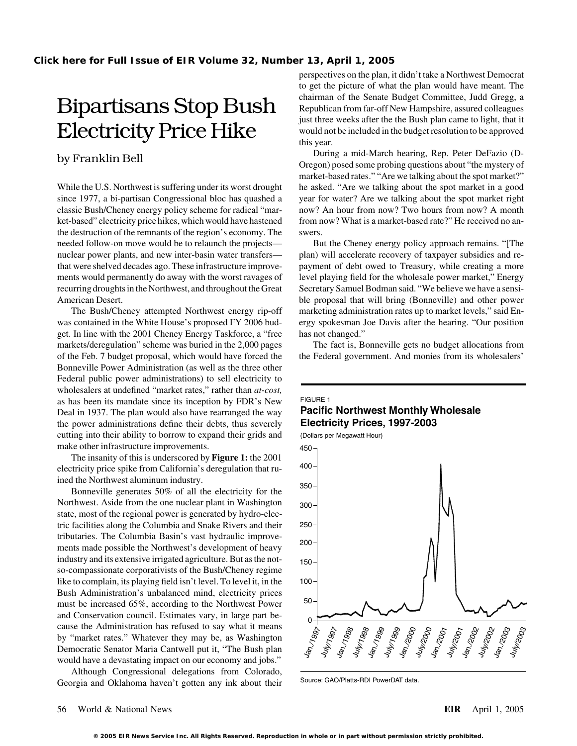classic Bush/Cheney energy policy scheme for radical "mar- now? An hour from now? Two hours from now? A month ket-based" electricity price hikes, which would have hastened from now? What is a market-based rate?" He received no anthe destruction of the remnants of the region's economy. The swers. needed follow-on move would be to relaunch the projects—<br>But the Cheney energy policy approach remains. "[The nuclear power plants, and new inter-basin water transfers— plan) will accelerate recovery of taxpayer subsidies and rethat were shelved decades ago. These infrastructure improve- payment of debt owed to Treasury, while creating a more ments would permanently do away with the worst ravages of level playing field for the wholesale power market," Energy recurring droughts in the Northwest, and throughout the Great Secretary Samuel Bodman said. "We believe we have a sensi-

get. In line with the 2001 Cheney Energy Taskforce, a "free has not changed." markets/deregulation" scheme was buried in the 2,000 pages The fact is, Bonneville gets no budget allocations from of the Feb. 7 budget proposal, which would have forced the the Federal government. And monies from its wholesalers' Bonneville Power Administration (as well as the three other Federal public power administrations) to sell electricity to wholesalers at undefined "market rates," rather than *at-cost,* as has been its mandate since its inception by FDR's New Deal in 1937. The plan would also have rearranged the way the power administrations define their debts, thus severely cutting into their ability to borrow to expand their grids and make other infrastructure improvements.

The insanity of this is underscored by **Figure 1:** the 2001 electricity price spike from California's deregulation that ruined the Northwest aluminum industry.

Bonneville generates 50% of all the electricity for the Northwest. Aside from the one nuclear plant in Washington state, most of the regional power is generated by hydro-electric facilities along the Columbia and Snake Rivers and their tributaries. The Columbia Basin's vast hydraulic improvements made possible the Northwest's development of heavy industry and its extensive irrigated agriculture. But as the notso-compassionate corporativists of the Bush/Cheney regime like to complain, its playing field isn't level. To level it, in the Bush Administration's unbalanced mind, electricity prices must be increased 65%, according to the Northwest Power and Conservation council. Estimates vary, in large part because the Administration has refused to say what it means by "market rates." Whatever they may be, as Washington Democratic Senator Maria Cantwell put it, "The Bush plan would have a devastating impact on our economy and jobs."

Although Congressional delegations from Colorado, Georgia and Oklahoma haven't gotten any ink about their

perspectives on the plan, it didn't take a Northwest Democrat to get the picture of what the plan would have meant. The Eipartisans Stop Bush chairman of the Senate Budget Committee, Judd Gregg, a Republican from far-off New Hampshire, assured colleagues<br>inst three weeks after the the Bush plan came to light, that it Electricity Price Hike would not be included in the budget resolution to be approved this year.

During a mid-March hearing, Rep. Peter DeFazio (D- by Franklin Bell Oregon) posed some probing questions about "the mystery of market-based rates." "Are we talking about the spot market?" While the U.S. Northwest is suffering under its worst drought he asked. "Are we talking about the spot market in a good since 1977, a bi-partisan Congressional bloc has quashed a year for water? Are we talking about the spot market right

American Desert. ble proposal that will bring (Bonneville) and other power The Bush/Cheney attempted Northwest energy rip-off marketing administration rates up to market levels," said Enwas contained in the White House's proposed FY 2006 bud- ergy spokesman Joe Davis after the hearing. "Our position

## FIGURE 1

# **Pacific Northwest Monthly Wholesale Electricity Prices, 1997-2003**

(Dollars per Megawatt Hour)  $\overline{\phantom{0}}$ 550 100 150 200 250 300 350 450 400 Jan. 1997 July/1997  $J_{\rm 4n/19g}$ July/1998 Jan./1999 Juliu<sup>luw</sup> Jan.<sub>/2000</sub> July/2000 Jan./2001 July/2001 Jan.<sub>/2002</sub> July/2002 Jan./2003 July/2003

Source: GAO/Platts-RDI PowerDAT data.